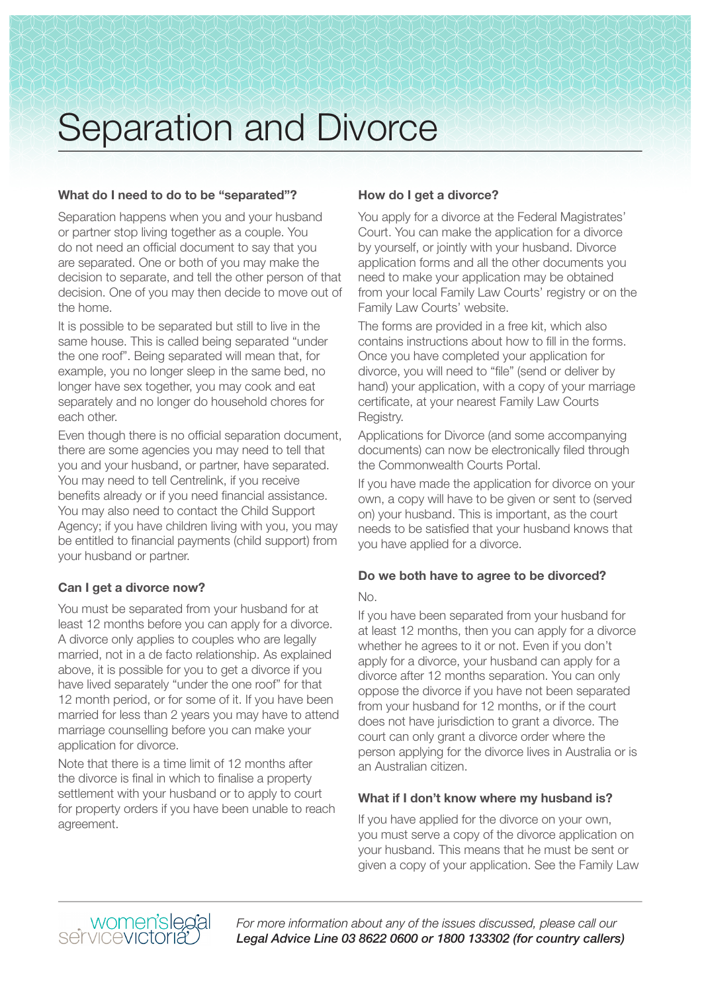# Separation and Divorce

#### **What do I need to do to be "separated"?**

Separation happens when you and your husband or partner stop living together as a couple. You do not need an official document to say that you are separated. One or both of you may make the decision to separate, and tell the other person of that decision. One of you may then decide to move out of the home.

It is possible to be separated but still to live in the same house. This is called being separated "under the one roof". Being separated will mean that, for example, you no longer sleep in the same bed, no longer have sex together, you may cook and eat separately and no longer do household chores for each other.

Even though there is no official separation document, there are some agencies you may need to tell that you and your husband, or partner, have separated. You may need to tell Centrelink, if you receive benefits already or if you need financial assistance. You may also need to contact the Child Support Agency; if you have children living with you, you may be entitled to financial payments (child support) from your husband or partner.

#### **Can I get a divorce now?**

You must be separated from your husband for at least 12 months before you can apply for a divorce. A divorce only applies to couples who are legally married, not in a de facto relationship. As explained above, it is possible for you to get a divorce if you have lived separately "under the one roof" for that 12 month period, or for some of it. If you have been married for less than 2 years you may have to attend marriage counselling before you can make your application for divorce.

Note that there is a time limit of 12 months after the divorce is final in which to finalise a property settlement with your husband or to apply to court for property orders if you have been unable to reach agreement.

#### **How do I get a divorce?**

You apply for a divorce at the Federal Magistrates' Court. You can make the application for a divorce by yourself, or jointly with your husband. Divorce application forms and all the other documents you need to make your application may be obtained from your local Family Law Courts' registry or on the Family Law Courts' website.

The forms are provided in a free kit, which also contains instructions about how to fill in the forms. Once you have completed your application for divorce, you will need to "file" (send or deliver by hand) your application, with a copy of your marriage certificate, at your nearest Family Law Courts Registry.

Applications for Divorce (and some accompanying documents) can now be electronically filed through the Commonwealth Courts Portal.

If you have made the application for divorce on your own, a copy will have to be given or sent to (served on) your husband. This is important, as the court needs to be satisfied that your husband knows that you have applied for a divorce.

### **Do we both have to agree to be divorced?**

#### No.

If you have been separated from your husband for at least 12 months, then you can apply for a divorce whether he agrees to it or not. Even if you don't apply for a divorce, your husband can apply for a divorce after 12 months separation. You can only oppose the divorce if you have not been separated from your husband for 12 months, or if the court does not have jurisdiction to grant a divorce. The court can only grant a divorce order where the person applying for the divorce lives in Australia or is an Australian citizen.

#### **What if I don't know where my husband is?**

If you have applied for the divorce on your own, you must serve a copy of the divorce application on your husband. This means that he must be sent or given a copy of your application. See the Family Law

*For more information about any of the issues discussed, please call our Legal Advice Line 03 8622 0600 or 1800 133302 (for country callers)*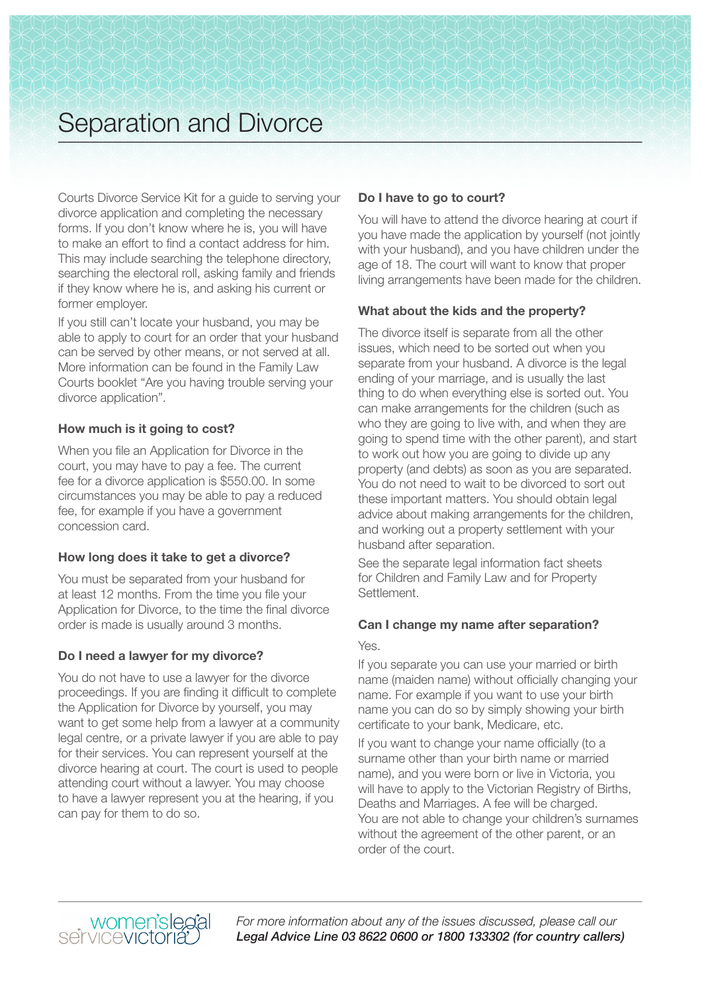### Separation and Divorce

Courts Divorce Service Kit for a guide to serving your divorce application and completing the necessary forms. If you don't know where he is, you will have to make an effort to find a contact address for him. This may include searching the telephone directory, searching the electoral roll, asking family and friends if they know where he is, and asking his current or former employer.

If you still can't locate your husband, you may be able to apply to court for an order that your husband can be served by other means, or not served at all. More information can be found in the Family Law Courts booklet "Are you having trouble serving your divorce application".

#### **How much is it going to cost?**

When you file an Application for Divorce in the court, you may have to pay a fee. The current fee for a divorce application is \$550.00. In some circumstances you may be able to pay a reduced fee, for example if you have a government concession card.

#### **How long does it take to get a divorce?**

You must be separated from your husband for at least 12 months. From the time you file your Application for Divorce, to the time the final divorce order is made is usually around 3 months.

#### **Do I need a lawyer for my divorce?**

You do not have to use a lawyer for the divorce proceedings. If you are finding it difficult to complete the Application for Divorce by yourself, you may want to get some help from a lawyer at a community legal centre, or a private lawyer if you are able to pay for their services. You can represent yourself at the divorce hearing at court. The court is used to people attending court without a lawyer. You may choose to have a lawyer represent you at the hearing, if you can pay for them to do so.

#### **Do I have to go to court?**

You will have to attend the divorce hearing at court if you have made the application by yourself (not jointly with your husband), and you have children under the age of 18. The court will want to know that proper living arrangements have been made for the children.

#### **What about the kids and the property?**

The divorce itself is separate from all the other issues, which need to be sorted out when you separate from your husband. A divorce is the legal ending of your marriage, and is usually the last thing to do when everything else is sorted out. You can make arrangements for the children (such as who they are going to live with, and when they are going to spend time with the other parent), and start to work out how you are going to divide up any property (and debts) as soon as you are separated. You do not need to wait to be divorced to sort out these important matters. You should obtain legal advice about making arrangements for the children, and working out a property settlement with your husband after separation.

See the separate legal information fact sheets for Children and Family Law and for Property Settlement.

#### **Can I change my name after separation?**

#### Yes.

If you separate you can use your married or birth name (maiden name) without officially changing your name. For example if you want to use your birth name you can do so by simply showing your birth certificate to your bank, Medicare, etc.

If you want to change your name officially (to a surname other than your birth name or married name), and you were born or live in Victoria, you will have to apply to the Victorian Registry of Births, Deaths and Marriages. A fee will be charged. You are not able to change your children's surnames without the agreement of the other parent, or an order of the court.



*For more information about any of the issues discussed, please call our Legal Advice Line 03 8622 0600 or 1800 133302 (for country callers)*